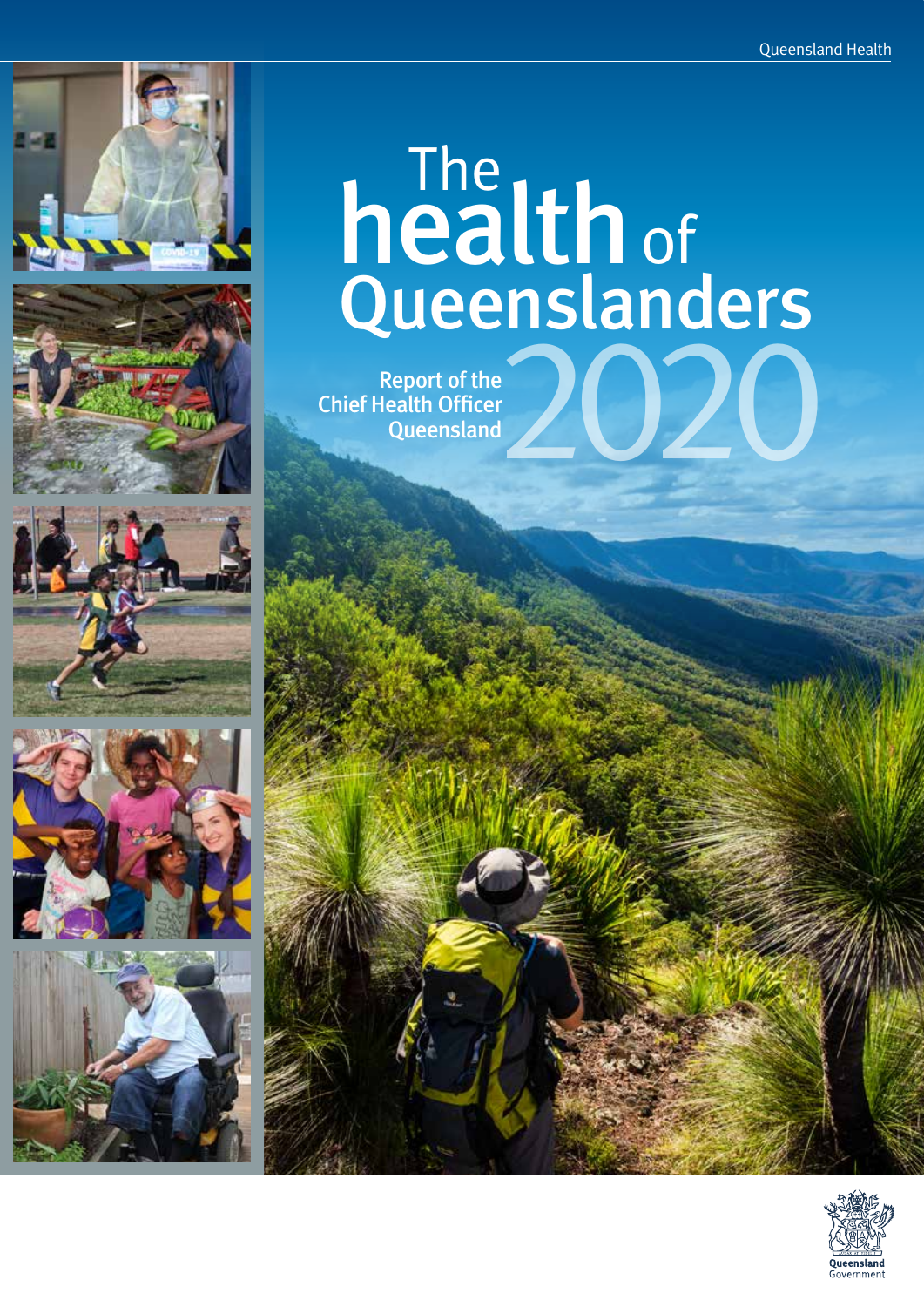









## The Queenslanders health Report of the<br>Tealth Officer<br>Queensland of

Chief Health Officer **Queensland** 

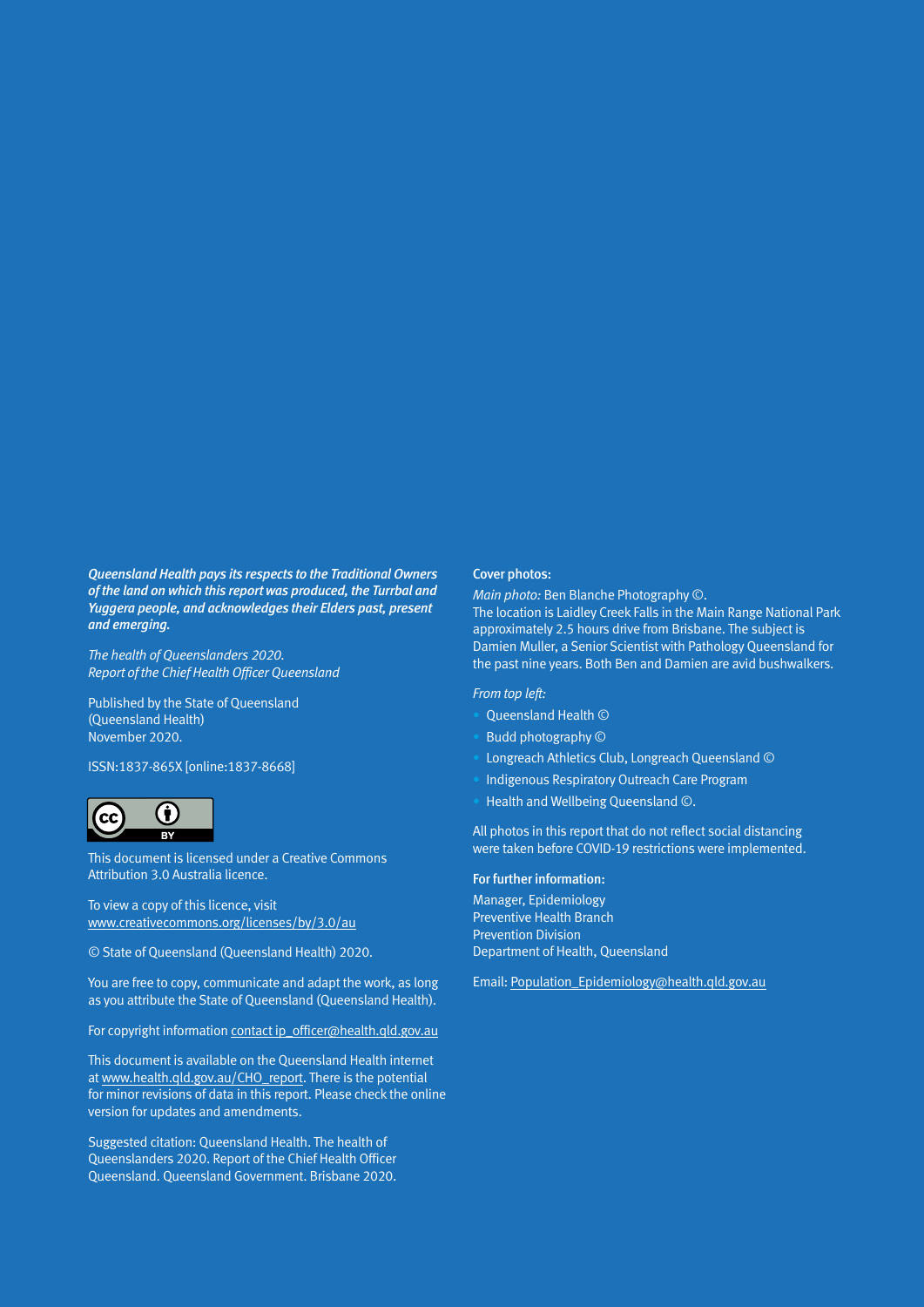*Queensland Health pays its respects to the Traditional Owners of the land on which this report was produced, the Turrbal and Yuggera people, and acknowledges their Elders past, present and emerging.*

*The health of Queenslanders 2020. Report of the Chief Health Officer Queensland*

Published by the State of Queensland (Queensland Health) November 2020.

ISSN:1837-865X [online:1837-8668]



This document is licensed under a Creative Commons Attribution 3.0 Australia licence.

To view a copy of this licence, visit [www.creativecommons.org/licenses/by/3.0/au](https://www.creativecommons.org/licenses/by/3.0/au/)

© State of Queensland (Queensland Health) 2020.

You are free to copy, communicate and adapt the work, as long as you attribute the State of Queensland (Queensland Health).

For copyright information [contact ip\\_officer@health.qld.gov.au](mailto:contact%20ip_officer%40health.qld.gov.au?subject=)

This document is available on the Queensland Health internet at [www.health.qld.gov.au/CHO\\_report](http://www.health.qld.gov.au/CHO_report). There is the potential for minor revisions of data in this report. Please check the online version for updates and amendments.

Suggested citation: Queensland Health. The health of Queenslanders 2020. Report of the Chief Health Officer Queensland. Queensland Government. Brisbane 2020.

#### Cover photos:

*Main photo:* Ben Blanche Photography ©.

The location is Laidley Creek Falls in the Main Range National Park approximately 2.5 hours drive from Brisbane. The subject is Damien Muller, a Senior Scientist with Pathology Queensland for the past nine years. Both Ben and Damien are avid bushwalkers.

#### *From top left:*

- Queensland Health ©
- Budd photography ©
- Longreach Athletics Club, Longreach Queensland ©
- Indigenous Respiratory Outreach Care Program
- Health and Wellbeing Queensland ©.

All photos in this report that do not reflect social distancing were taken before COVID-19 restrictions were implemented.

#### For further information:

Manager, Epidemiology Preventive Health Branch Prevention Division Department of Health, Queensland

Email: [Population\\_Epidemiology@health.qld.gov.au](mailto:Population_Epidemiology%40health.qld.gov.au?subject=)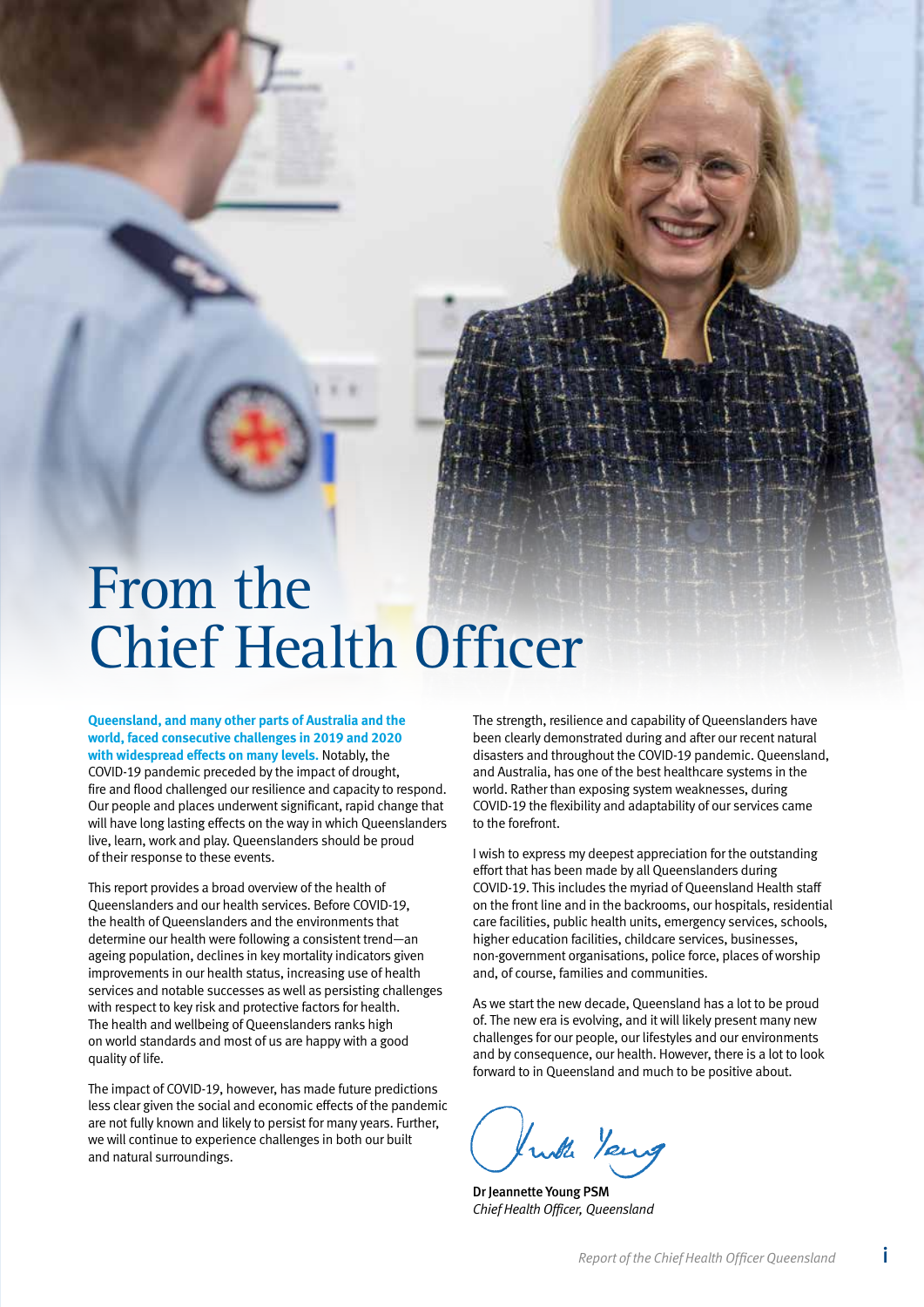## <span id="page-2-0"></span>From the Chief Health Officer

**Queensland, and many other parts of Australia and the world, faced consecutive challenges in 2019 and 2020 with widespread effects on many levels.** Notably, the COVID-19 pandemic preceded by the impact of drought, fire and flood challenged our resilience and capacity to respond. Our people and places underwent significant, rapid change that will have long lasting effects on the way in which Queenslanders live, learn, work and play. Queenslanders should be proud of their response to these events.

This report provides a broad overview of the health of Queenslanders and our health services. Before COVID-19, the health of Queenslanders and the environments that determine our health were following a consistent trend—an ageing population, declines in key mortality indicators given improvements in our health status, increasing use of health services and notable successes as well as persisting challenges with respect to key risk and protective factors for health. The health and wellbeing of Queenslanders ranks high on world standards and most of us are happy with a good quality of life.

The impact of COVID-19, however, has made future predictions less clear given the social and economic effects of the pandemic are not fully known and likely to persist for many years. Further, we will continue to experience challenges in both our built and natural surroundings.

The strength, resilience and capability of Queenslanders have been clearly demonstrated during and after our recent natural disasters and throughout the COVID-19 pandemic. Queensland, and Australia, has one of the best healthcare systems in the world. Rather than exposing system weaknesses, during COVID-19 the flexibility and adaptability of our services came to the forefront.

I wish to express my deepest appreciation for the outstanding effort that has been made by all Queenslanders during COVID-19. This includes the myriad of Queensland Health staff on the front line and in the backrooms, our hospitals, residential care facilities, public health units, emergency services, schools, higher education facilities, childcare services, businesses, non-government organisations, police force, places of worship and, of course, families and communities.

As we start the new decade, Queensland has a lot to be proud of. The new era is evolving, and it will likely present many new challenges for our people, our lifestyles and our environments and by consequence, our health. However, there is a lot to look forward to in Queensland and much to be positive about.

buth Young

Dr Jeannette Young PSM *Chief Health Officer, Queensland*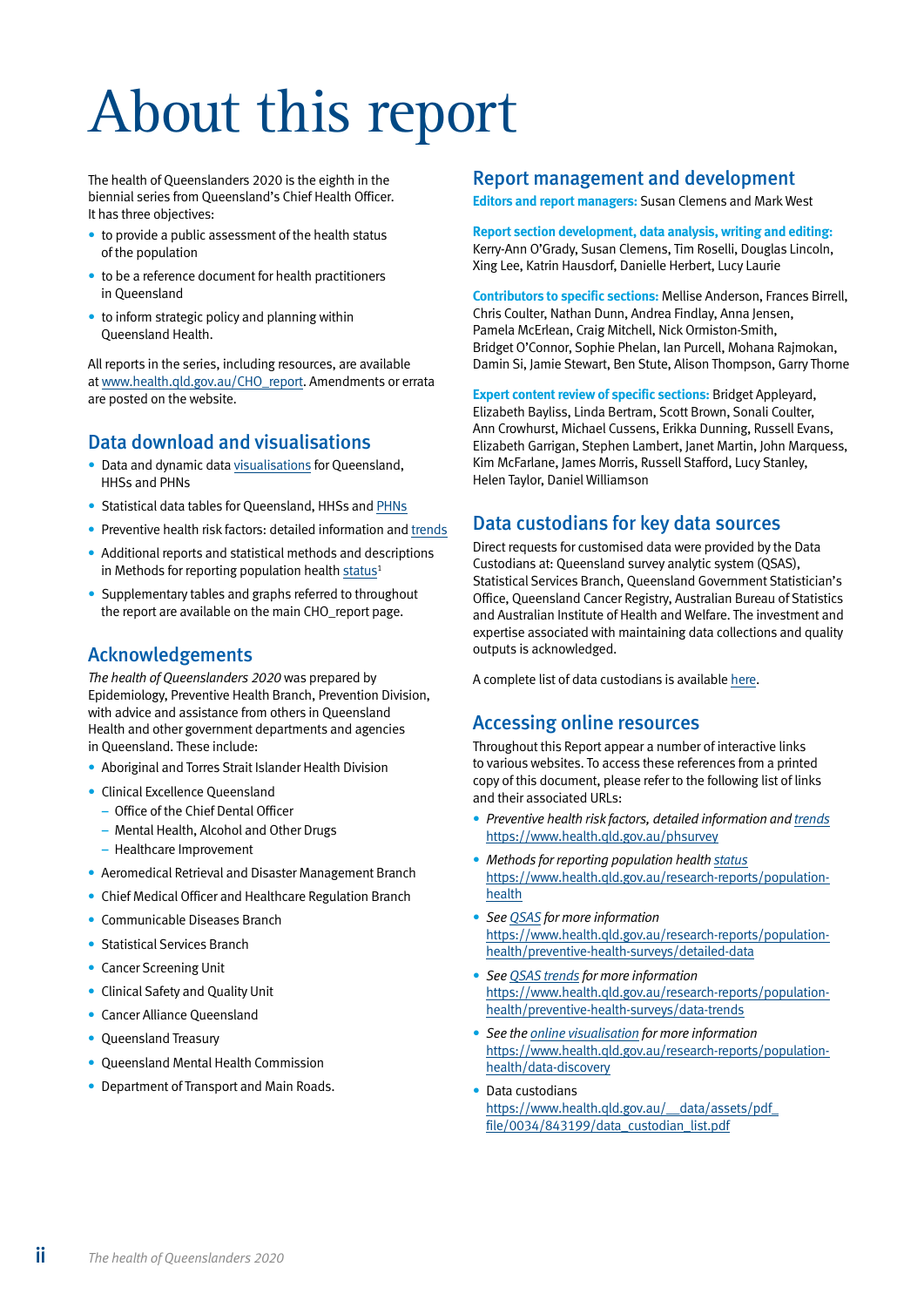# <span id="page-3-0"></span>About this report

The health of Queenslanders 2020 is the eighth in the biennial series from Queensland's Chief Health Officer. It has three objectives:

- to provide a public assessment of the health status of the population
- to be a reference document for health practitioners in Queensland
- to inform strategic policy and planning within Queensland Health.

All reports in the series, including resources, are available at [www.health.qld.gov.au/CHO\\_report](http://www.health.qld.gov.au/CHO_report). Amendments or errata are posted on the website.

## Data download and visualisations

- Data and dynamic data [visualisations](https://www.health.qld.gov.au/research-reports/population-health/data-discovery) for Queensland, HHSs and PHNs
- Statistical data tables for Queensland, HHSs and [PHNs](https://www.health.qld.gov.au/research-reports/reports/public-health/cho-report/current)
- Preventive health risk factors: detailed information and [trends](https://www.health.qld.gov.au/research-reports/population-health/preventive-health-surveys)
- Additional reports and statistical methods and descriptions in Methods for reporting population health [status](https://www.health.qld.gov.au/research-reports/population-health)<sup>1</sup>
- Supplementary tables and graphs referred to throughout the report are available on the main CHO\_report page.

## Acknowledgements

*The health of Queenslanders 2020* was prepared by Epidemiology, Preventive Health Branch, Prevention Division, with advice and assistance from others in Queensland Health and other government departments and agencies in Queensland. These include:

- Aboriginal and Torres Strait Islander Health Division
- Clinical Excellence Queensland
	- Office of the Chief Dental Officer
	- Mental Health, Alcohol and Other Drugs
	- Healthcare Improvement
- Aeromedical Retrieval and Disaster Management Branch
- Chief Medical Officer and Healthcare Regulation Branch
- Communicable Diseases Branch
- Statistical Services Branch
- Cancer Screening Unit
- Clinical Safety and Quality Unit
- Cancer Alliance Queensland
- Queensland Treasury
- Queensland Mental Health Commission
- Department of Transport and Main Roads.

### Report management and development

**Editors and report managers:** Susan Clemens and Mark West

#### **Report section development, data analysis, writing and editing:** Kerry-Ann O'Grady, Susan Clemens, Tim Roselli, Douglas Lincoln, Xing Lee, Katrin Hausdorf, Danielle Herbert, Lucy Laurie

**Contributors to specific sections:** Mellise Anderson, Frances Birrell, Chris Coulter, Nathan Dunn, Andrea Findlay, Anna Jensen, Pamela McErlean, Craig Mitchell, Nick Ormiston-Smith, Bridget O'Connor, Sophie Phelan, Ian Purcell, Mohana Rajmokan, Damin Si, Jamie Stewart, Ben Stute, Alison Thompson, Garry Thorne

**Expert content review of specific sections:** Bridget Appleyard, Elizabeth Bayliss, Linda Bertram, Scott Brown, Sonali Coulter, Ann Crowhurst, Michael Cussens, Erikka Dunning, Russell Evans, Elizabeth Garrigan, Stephen Lambert, Janet Martin, John Marquess, Kim McFarlane, James Morris, Russell Stafford, Lucy Stanley, Helen Taylor, Daniel Williamson

### Data custodians for key data sources

Direct requests for customised data were provided by the Data Custodians at: Queensland survey analytic system (QSAS), Statistical Services Branch, Queensland Government Statistician's Office, Queensland Cancer Registry, Australian Bureau of Statistics and Australian Institute of Health and Welfare. The investment and expertise associated with maintaining data collections and quality outputs is acknowledged.

A complete list of data custodians is available [here](https://www.health.qld.gov.au/__data/assets/pdf_file/0034/843199/data_custodian_list.pdf).

### Accessing online resources

Throughout this Report appear a number of interactive links to various websites. To access these references from a printed copy of this document, please refer to the following list of links and their associated URLs:

- *Preventive health risk factors, detailed information and [trends](https://www.health.qld.gov.au/phsurvey)* <https://www.health.qld.gov.au/phsurvey>
- *Methods for reporting population health [status](https://www.health.qld.gov.au/research-reports/population-health)* [https://www.health.qld.gov.au/research-reports/population](https://www.health.qld.gov.au/research-reports/population-health)[health](https://www.health.qld.gov.au/research-reports/population-health)
- *See [QSAS](https://www.health.qld.gov.au/research-reports/population-health/preventive-health-surveys/detailed-data) for more information* [https://www.health.qld.gov.au/research-reports/population](https://www.health.qld.gov.au/research-reports/population-health/preventive-health-surveys/detailed-data)[health/preventive-health-surveys/detailed-data](https://www.health.qld.gov.au/research-reports/population-health/preventive-health-surveys/detailed-data)
- *See [QSAS trends](https://www.health.qld.gov.au/research-reports/population-health/preventive-health-surveys/data-trends) for more information* [https://www.health.qld.gov.au/research-reports/population](https://www.health.qld.gov.au/research-reports/population-health/preventive-health-surveys/data-trends)[health/preventive-health-surveys/data-trends](https://www.health.qld.gov.au/research-reports/population-health/preventive-health-surveys/data-trends)
- *See the [online visualisation](https://www.health.qld.gov.au/research-reports/population-health/data-discovery) for more information* [https://www.health.qld.gov.au/research-reports/population](https://www.health.qld.gov.au/research-reports/population-health/data-discovery)[health/data-discovery](https://www.health.qld.gov.au/research-reports/population-health/data-discovery)
- Data custodians [https://www.health.qld.gov.au/\\_\\_data/assets/pdf\\_](https://www.health.qld.gov.au/__data/assets/pdf_file/0034/843199/data_custodian_list.pdf) [file/0034/843199/data\\_custodian\\_list.pdf](https://www.health.qld.gov.au/__data/assets/pdf_file/0034/843199/data_custodian_list.pdf)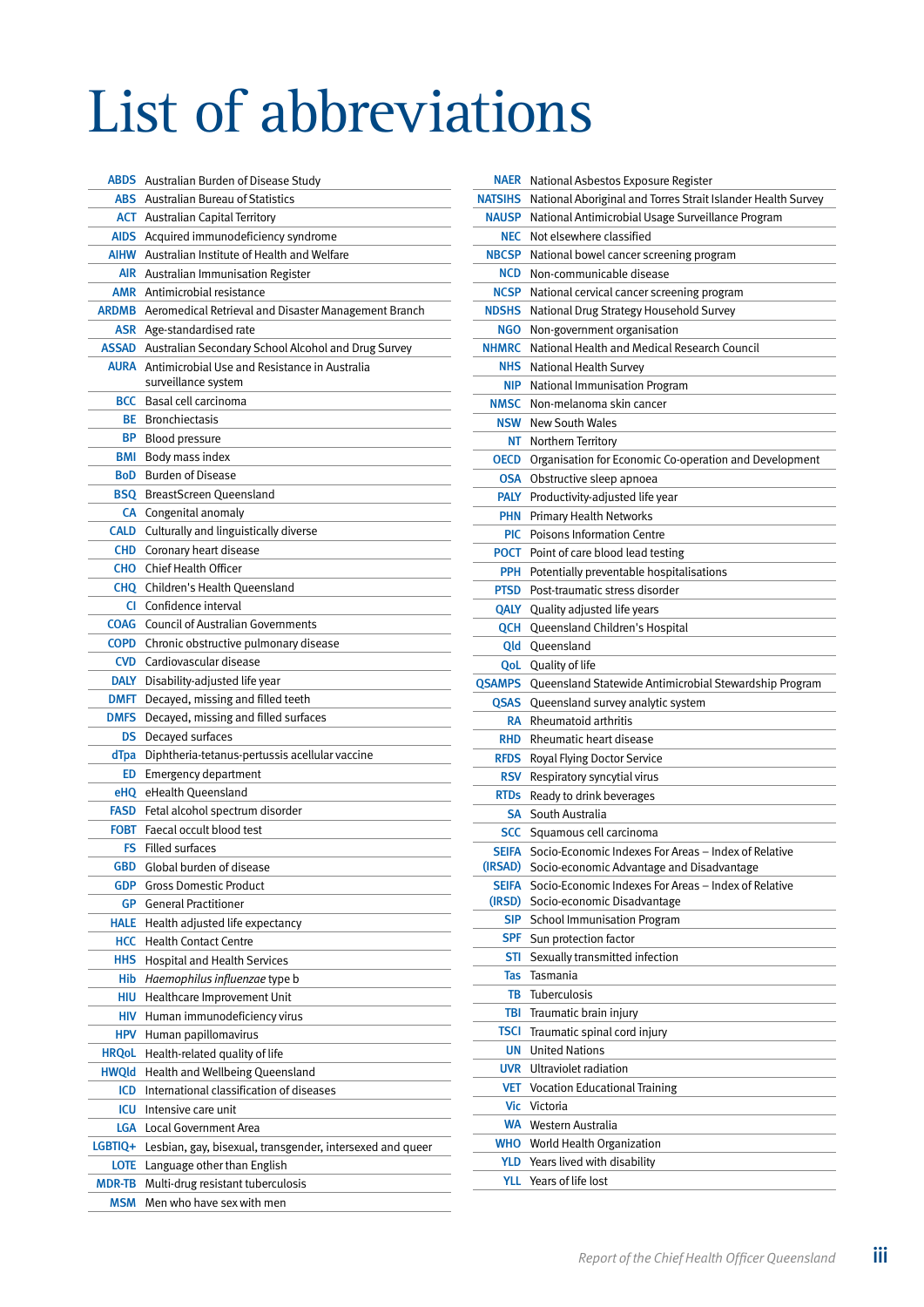## <span id="page-4-0"></span>List of abbreviations

| <b>ABDS</b>   | Australian Burden of Disease Study                                |
|---------------|-------------------------------------------------------------------|
| ABS           | <b>Australian Bureau of Statistics</b>                            |
|               | <b>ACT</b> Australian Capital Territory                           |
|               | AIDS Acquired immunodeficiency syndrome                           |
|               | <b>AIHW</b> Australian Institute of Health and Welfare            |
|               | <b>AIR</b> Australian Immunisation Register                       |
|               | <b>AMR</b> Antimicrobial resistance                               |
|               | <b>ARDMB</b> Aeromedical Retrieval and Disaster Management Branch |
|               | <b>ASR</b> Age-standardised rate                                  |
|               | ASSAD Australian Secondary School Alcohol and Drug Survey         |
|               | <b>AURA</b> Antimicrobial Use and Resistance in Australia         |
|               | surveillance system                                               |
| <b>BCC</b>    | Basal cell carcinoma                                              |
| BE            | <b>Bronchiectasis</b>                                             |
| BP.           | Blood pressure                                                    |
| BMI           | Body mass index                                                   |
| BoD           | <b>Burden of Disease</b>                                          |
| <b>BSQ</b>    | BreastScreen Queensland                                           |
|               | <b>CA</b> Congenital anomaly                                      |
|               | <b>CALD</b> Culturally and linguistically diverse                 |
|               | <b>CHD</b> Coronary heart disease                                 |
| <b>CHO</b>    | <b>Chief Health Officer</b>                                       |
| <b>CHQ</b>    | Children's Health Oueensland                                      |
| CI.           | Confidence interval                                               |
| COAG          | <b>Council of Australian Governments</b>                          |
|               | <b>COPD</b> Chronic obstructive pulmonary disease                 |
| <b>CVD</b>    | Cardiovascular disease                                            |
| DALY          | Disability-adjusted life year                                     |
| DMFT          | Decayed, missing and filled teeth                                 |
| <b>DMFS</b>   | Decayed, missing and filled surfaces                              |
| <b>DS</b>     | Decayed surfaces                                                  |
| dTpa          | Diphtheria-tetanus-pertussis acellular vaccine                    |
| ED            | <b>Emergency department</b>                                       |
| eHQ           | eHealth Queensland                                                |
| FASD          | Fetal alcohol spectrum disorder                                   |
| FOBT          | Faecal occult blood test                                          |
| FS .          | <b>Filled surfaces</b>                                            |
| GBD           | Global burden of disease                                          |
| GDP           | <b>Gross Domestic Product</b>                                     |
| <b>GP</b>     | <b>General Practitioner</b>                                       |
| Hale          | Health adjusted life expectancy                                   |
| HCC           | <b>Health Contact Centre</b>                                      |
| <b>HHS</b>    | <b>Hospital and Health Services</b>                               |
| Hib           | Haemophilus influenzae type b                                     |
| hiu           | Healthcare Improvement Unit                                       |
| <b>HIV</b>    | Human immunodeficiency virus                                      |
| <b>HPV</b>    | Human papillomavirus                                              |
| <b>HRQoL</b>  | Health-related quality of life                                    |
| <b>HWQld</b>  | Health and Wellbeing Queensland                                   |
| ICD           | International classification of diseases                          |
| icu           | Intensive care unit                                               |
| Lga           | Local Government Area                                             |
| LGBTIQ+       | Lesbian, gay, bisexual, transgender, intersexed and queer         |
| <b>LOTE</b>   | Language other than English                                       |
| <b>MDR-TB</b> | Multi-drug resistant tuberculosis                                 |
| <b>MSM</b>    | Men who have sex with men                                         |
|               |                                                                   |

| Naer           | National Asbestos Exposure Register                          |
|----------------|--------------------------------------------------------------|
| <b>NATSIHS</b> | National Aboriginal and Torres Strait Islander Health Survey |
| <b>NAUSP</b>   | National Antimicrobial Usage Surveillance Program            |
| <b>NEC</b>     | Not elsewhere classified                                     |
| <b>NBCSP</b>   | National bowel cancer screening program                      |
| <b>NCD</b>     | Non-communicable disease                                     |
| <b>NCSP</b>    | National cervical cancer screening program                   |
| <b>NDSHS</b>   | National Drug Strategy Household Survey                      |
| <b>NGO</b>     | Non-government organisation                                  |
| <b>NHMRC</b>   | National Health and Medical Research Council                 |
| <b>NHS</b>     | National Health Survey                                       |
| <b>NIP</b>     | National Immunisation Program                                |
| <b>NMSC</b>    | Non-melanoma skin cancer                                     |
| <b>NSW</b>     | <b>New South Wales</b>                                       |
| NΤ             | Northern Territory                                           |
| <b>OECD</b>    | Organisation for Economic Co-operation and Development       |
| <b>OSA</b>     | Obstructive sleep apnoea                                     |
| <b>PALY</b>    | Productivity-adjusted life year                              |
| <b>PHN</b>     | <b>Primary Health Networks</b>                               |
| <b>PIC</b>     | <b>Poisons Information Centre</b>                            |
| <b>POCT</b>    | Point of care blood lead testing                             |
| <b>PPH</b>     | Potentially preventable hospitalisations                     |
| <b>PTSD</b>    | Post-traumatic stress disorder                               |
| QALY           | Quality adjusted life years                                  |
| QCH            | Queensland Children's Hospital                               |
| Qld            | Queensland                                                   |
| QoL            | Quality of life                                              |
| <b>QSAMPS</b>  | Queensland Statewide Antimicrobial Stewardship Program       |
| QSAS           | Queensland survey analytic system                            |
| RA             | Rheumatoid arthritis                                         |
| <b>RHD</b>     | Rheumatic heart disease                                      |
| <b>RFDS</b>    | Royal Flying Doctor Service                                  |
| RSV            | Respiratory syncytial virus                                  |
| <b>RTDs</b>    | Ready to drink beverages                                     |
| SA             | South Australia                                              |
| <b>SCC</b>     | Squamous cell carcinoma                                      |
| <b>SEIFA</b>   | Socio-Economic Indexes For Areas - Index of Relative         |
| (IRSAD)        | Socio-economic Advantage and Disadvantage                    |
| <b>SEIFA</b>   | Socio-Economic Indexes For Areas - Index of Relative         |
| (IRSD)         | Socio-economic Disadvantage                                  |
| SIP            | <b>School Immunisation Program</b>                           |
| <b>SPF</b>     | Sun protection factor                                        |
| STI            | Sexually transmitted infection                               |
| Tas            | Tasmania                                                     |
| TB             | Tuberculosis                                                 |
| TBI            | Traumatic brain injury                                       |
| <b>TSCI</b>    | Traumatic spinal cord injury                                 |
| <b>UN</b>      | <b>United Nations</b>                                        |
| <b>UVR</b>     | Ultraviolet radiation                                        |
| <b>VET</b>     | <b>Vocation Educational Training</b>                         |
| Vic            | Victoria                                                     |
| WA             | Western Australia                                            |
| <b>WHO</b>     | World Health Organization                                    |
| YLD            | Years lived with disability                                  |
| YLL.           | Years of life lost                                           |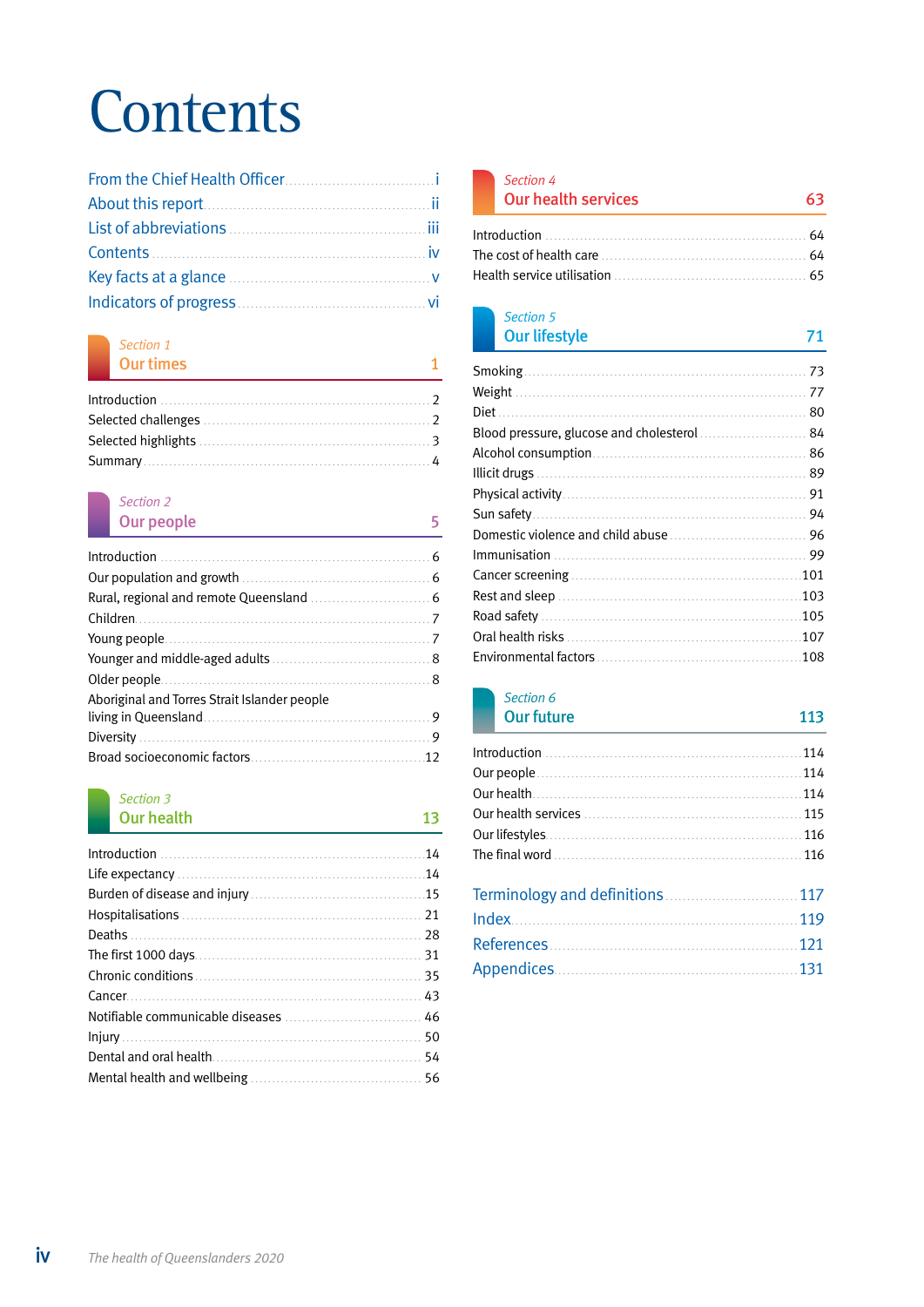## **Contents**

## *[Section 1](#page--1-0)*

| <b>Our times</b>                                                                                |  |
|-------------------------------------------------------------------------------------------------|--|
| $Introduction \begin{equation} \begin{equation} \begin{equation} \end{equation} \end{equation}$ |  |
|                                                                                                 |  |
|                                                                                                 |  |
|                                                                                                 |  |

## *[Section 2](#page--1-0)*

| Our people                                   |  |
|----------------------------------------------|--|
|                                              |  |
|                                              |  |
|                                              |  |
|                                              |  |
|                                              |  |
|                                              |  |
|                                              |  |
| Aboriginal and Torres Strait Islander people |  |
|                                              |  |
|                                              |  |
|                                              |  |

## *[Section 3](#page--1-0)*

| <b>Our health</b> | 13  |
|-------------------|-----|
|                   |     |
|                   | .14 |
|                   |     |
|                   |     |
|                   |     |
|                   |     |
|                   |     |
|                   |     |
|                   |     |
|                   |     |
|                   |     |
|                   |     |

| Section 4                  |  |
|----------------------------|--|
| <b>Our health services</b> |  |
|                            |  |

| The cost of health care |  |
|-------------------------|--|
|                         |  |

### *[Section 5](#page--1-0)* **[Our lifestyle](#page--1-0)**

| 80  |
|-----|
|     |
|     |
| 89  |
|     |
|     |
|     |
|     |
| 101 |
| 103 |
| 105 |
| 107 |
| 108 |
|     |

#### *[Section 6](#page--1-0)* **[Our future](#page--1-0) 113**

| <u> 1988 - Johann Stein, marwolaethau a bhann an t-Amhain ann an t-Amhain an t-Amhain an t-Amhain an t-Amhain an </u> |  |
|-----------------------------------------------------------------------------------------------------------------------|--|
|                                                                                                                       |  |
|                                                                                                                       |  |
|                                                                                                                       |  |
|                                                                                                                       |  |
|                                                                                                                       |  |
|                                                                                                                       |  |
|                                                                                                                       |  |
|                                                                                                                       |  |
|                                                                                                                       |  |
|                                                                                                                       |  |
|                                                                                                                       |  |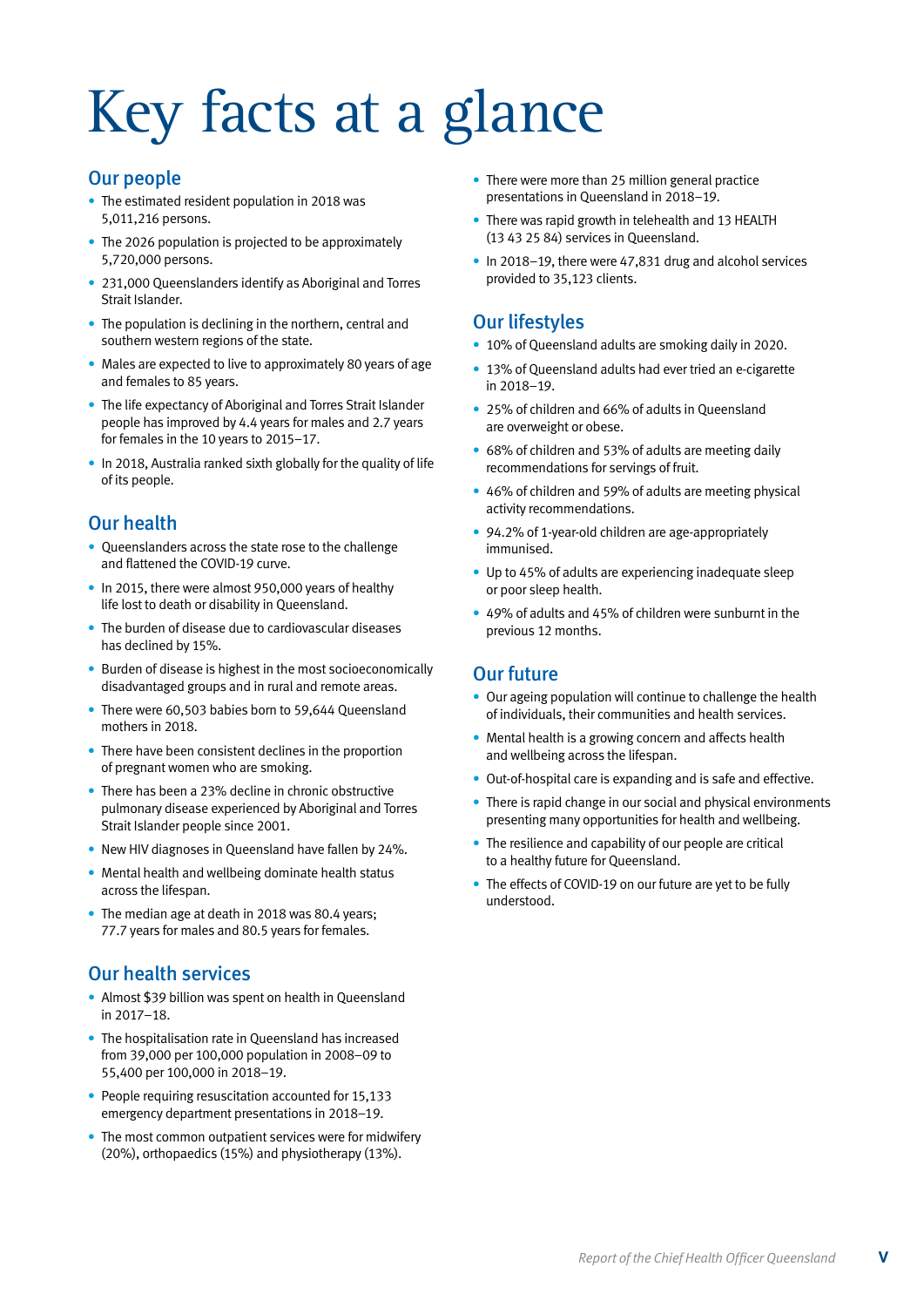# <span id="page-6-0"></span>Key facts at a glance

## Our people

- The estimated resident population in 2018 was 5,011,216 persons.
- The 2026 population is projected to be approximately 5,720,000 persons.
- 231,000 Queenslanders identify as Aboriginal and Torres Strait Islander.
- The population is declining in the northern, central and southern western regions of the state.
- Males are expected to live to approximately 80 years of age and females to 85 years.
- The life expectancy of Aboriginal and Torres Strait Islander people has improved by 4.4 years for males and 2.7 years for females in the 10 years to 2015–17.
- In 2018, Australia ranked sixth globally for the quality of life of its people.

## Our health

- Queenslanders across the state rose to the challenge and flattened the COVID-19 curve.
- In 2015, there were almost 950,000 years of healthy life lost to death or disability in Queensland.
- The burden of disease due to cardiovascular diseases has declined by 15%.
- Burden of disease is highest in the most socioeconomically disadvantaged groups and in rural and remote areas.
- There were 60,503 babies born to 59,644 Queensland mothers in 2018.
- There have been consistent declines in the proportion of pregnant women who are smoking.
- There has been a 23% decline in chronic obstructive pulmonary disease experienced by Aboriginal and Torres Strait Islander people since 2001.
- New HIV diagnoses in Queensland have fallen by 24%.
- Mental health and wellbeing dominate health status across the lifespan.
- The median age at death in 2018 was 80.4 years; 77.7 years for males and 80.5 years for females.

## Our health services

- Almost \$39 billion was spent on health in Queensland in 2017–18.
- The hospitalisation rate in Queensland has increased from 39,000 per 100,000 population in 2008–09 to 55,400 per 100,000 in 2018–19.
- People requiring resuscitation accounted for 15,133 emergency department presentations in 2018–19.
- The most common outpatient services were for midwifery (20%), orthopaedics (15%) and physiotherapy (13%).
- There were more than 25 million general practice presentations in Queensland in 2018–19.
- There was rapid growth in telehealth and 13 HEALTH (13 43 25 84) services in Queensland.
- In 2018–19, there were 47,831 drug and alcohol services provided to 35,123 clients.

## Our lifestyles

- 10% of Queensland adults are smoking daily in 2020.
- 13% of Queensland adults had ever tried an e-cigarette in 2018–19.
- 25% of children and 66% of adults in Queensland are overweight or obese.
- 68% of children and 53% of adults are meeting daily recommendations for servings of fruit.
- 46% of children and 59% of adults are meeting physical activity recommendations.
- 94.2% of 1-year-old children are age-appropriately immunised.
- Up to 45% of adults are experiencing inadequate sleep or poor sleep health.
- 49% of adults and 45% of children were sunburnt in the previous 12 months.

## Our future

- Our ageing population will continue to challenge the health of individuals, their communities and health services.
- Mental health is a growing concern and affects health and wellbeing across the lifespan.
- Out-of-hospital care is expanding and is safe and effective.
- There is rapid change in our social and physical environments presenting many opportunities for health and wellbeing.
- The resilience and capability of our people are critical to a healthy future for Queensland.
- The effects of COVID-19 on our future are yet to be fully understood.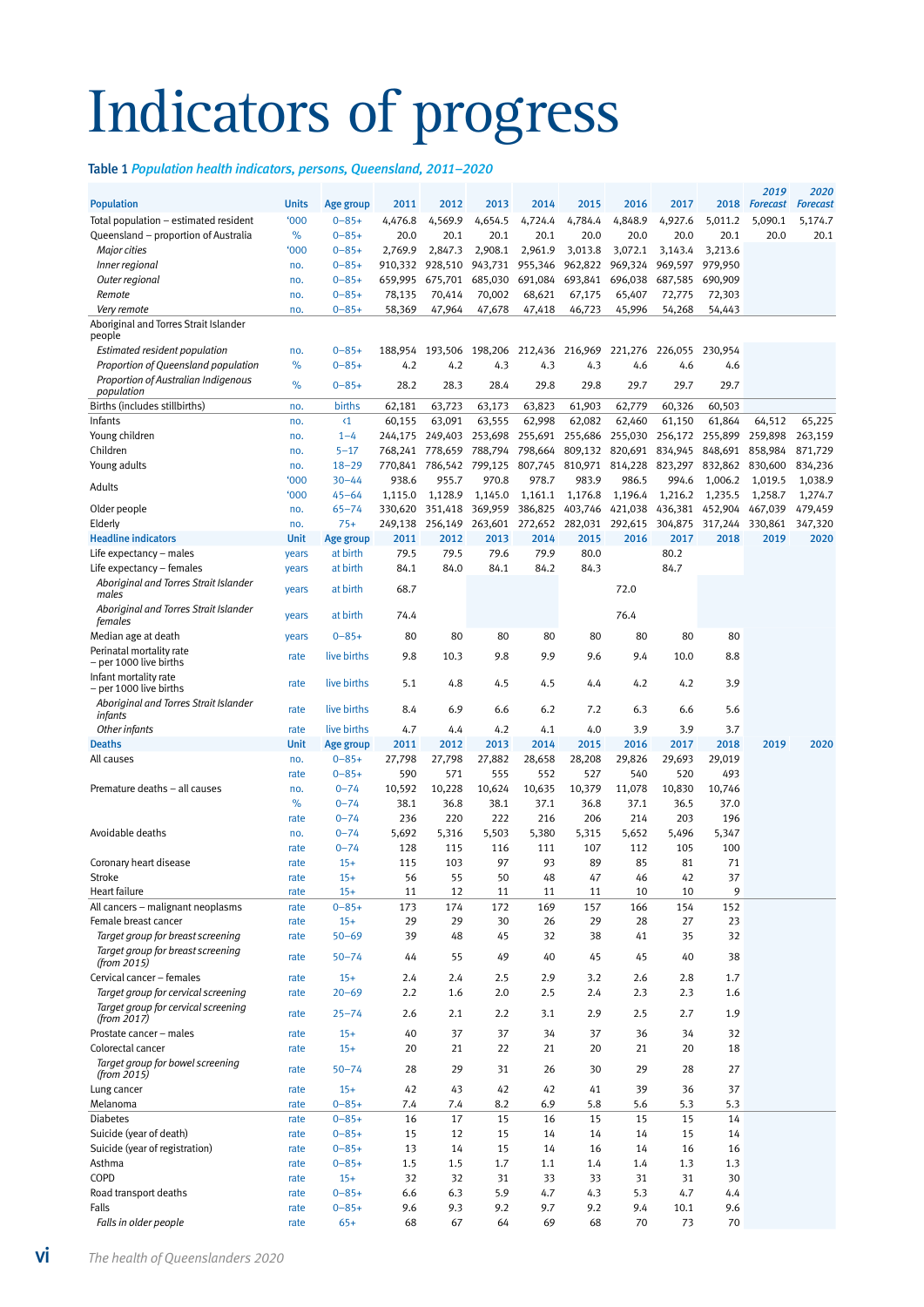## <span id="page-7-0"></span>Indicators of progress

Table 1 *Population health indicators, persons, Queensland, 2011–2020*

|                                                    |              |                          |                    |                    |                    |                    |                         |                           |                    |                    | 2019              | 2020              |
|----------------------------------------------------|--------------|--------------------------|--------------------|--------------------|--------------------|--------------------|-------------------------|---------------------------|--------------------|--------------------|-------------------|-------------------|
| <b>Population</b>                                  | <b>Units</b> | Age group                | 2011               | 2012               | 2013               | 2014               | 2015                    | 2016                      | 2017               | 2018               | <b>Forecast</b>   | <b>Forecast</b>   |
| Total population - estimated resident              | <b>'000</b>  | $0 - 85 +$               | 4,476.8            | 4,569.9            | 4,654.5            | 4,724.4            | 4,784.4                 | 4,848.9                   | 4,927.6            | 5,011.2            | 5,090.1           | 5,174.7           |
| Queensland – proportion of Australia               | %            | $0 - 85 +$               | 20.0               | 20.1               | 20.1               | 20.1               | 20.0                    | 20.0                      | 20.0               | 20.1               | 20.0              | 20.1              |
| Major cities                                       | <b>'000</b>  | $0 - 85 +$               | 2,769.9            | 2,847.3            | 2,908.1            | 2,961.9            | 3,013.8                 | 3,072.1                   | 3,143.4            | 3,213.6<br>979,950 |                   |                   |
| Inner regional<br>Outer regional                   | no.          | $0 - 85 +$<br>$0 - 85 +$ | 910,332<br>659,995 | 928,510<br>675,701 | 943,731<br>685,030 | 955,346<br>691,084 | 962,822<br>693,841      | 969,324<br>696,038        | 969,597<br>687,585 | 690,909            |                   |                   |
| Remote                                             | no.<br>no.   | $0 - 85 +$               | 78,135             | 70,414             | 70,002             | 68,621             | 67,175                  | 65,407                    | 72,775             | 72,303             |                   |                   |
| Very remote                                        | no.          | $0 - 85 +$               | 58,369             | 47,964             | 47,678             | 47,418             | 46,723                  | 45,996                    | 54,268             | 54,443             |                   |                   |
| Aboriginal and Torres Strait Islander              |              |                          |                    |                    |                    |                    |                         |                           |                    |                    |                   |                   |
| people                                             |              |                          |                    |                    |                    |                    |                         |                           |                    |                    |                   |                   |
| Estimated resident population                      | no.          | $0 - 85 +$               | 188,954            |                    | 193,506 198,206    | 212,436            | 216,969                 | 221,276                   | 226,055            | 230,954            |                   |                   |
| Proportion of Queensland population                | %            | $0 - 85 +$               | 4.2                | 4.2                | 4.3                | 4.3                | 4.3                     | 4.6                       | 4.6                | 4.6                |                   |                   |
| Proportion of Australian Indigenous                | %            | $0 - 85 +$               | 28.2               | 28.3               | 28.4               | 29.8               | 29.8                    | 29.7                      | 29.7               | 29.7               |                   |                   |
| population                                         |              |                          |                    |                    |                    |                    |                         |                           |                    |                    |                   |                   |
| Births (includes stillbirths)                      | no.          | births<br>$\langle 1$    | 62,181             | 63,723             | 63,173             | 63,823             | 61,903                  | 62,779                    | 60,326             | 60,503             |                   |                   |
| Infants<br>Young children                          | no.<br>no.   | $1 - 4$                  | 60,155<br>244,175  | 63,091<br>249,403  | 63,555<br>253,698  | 62,998<br>255,691  | 62,082                  | 62,460<br>255,686 255,030 | 61,150<br>256,172  | 61,864<br>255,899  | 64,512<br>259,898 | 65,225<br>263,159 |
| Children                                           | no.          | $5 - 17$                 | 768,241            | 778,659            | 788,794            | 798,664            | 809,132                 | 820,691                   | 834,945            | 848,691            | 858,984           | 871,729           |
| Young adults                                       | no.          | $18 - 29$                | 770,841            | 786,542            | 799,125            | 807,745            | 810,971                 | 814,228                   | 823,297            | 832,862            | 830,600           | 834,236           |
|                                                    | '000         | $30 - 44$                | 938.6              | 955.7              | 970.8              | 978.7              | 983.9                   | 986.5                     | 994.6              | 1,006.2            | 1,019.5           | 1,038.9           |
| Adults                                             | '000         | $45 - 64$                | 1,115.0            | 1,128.9            | 1,145.0            | 1,161.1            | 1,176.8                 | 1,196.4                   | 1,216.2            | 1,235.5            | 1,258.7           | 1,274.7           |
| Older people                                       | no.          | $65 - 74$                | 330,620            | 351,418            | 369,959            | 386,825            | 403,746                 | 421,038                   | 436,381            | 452,904            | 467,039           | 479,459           |
| Elderly                                            | no.          | $75+$                    | 249,138            | 256,149            | 263,601            |                    | 272,652 282,031 292,615 |                           | 304,875            | 317,244            | 330,861           | 347,320           |
| <b>Headline indicators</b>                         | <b>Unit</b>  | Age group                | 2011               | 2012               | 2013               | 2014               | 2015                    | 2016                      | 2017               | 2018               | 2019              | 2020              |
| Life expectancy - males                            | years        | at birth                 | 79.5               | 79.5               | 79.6               | 79.9               | 80.0                    |                           | 80.2               |                    |                   |                   |
| Life expectancy - females                          | years        | at birth                 | 84.1               | 84.0               | 84.1               | 84.2               | 84.3                    |                           | 84.7               |                    |                   |                   |
| Aboriginal and Torres Strait Islander<br>males     | years        | at birth                 | 68.7               |                    |                    |                    |                         | 72.0                      |                    |                    |                   |                   |
| Aboriginal and Torres Strait Islander<br>females   | years        | at birth                 | 74.4               |                    |                    |                    |                         | 76.4                      |                    |                    |                   |                   |
| Median age at death                                | years        | $0 - 85 +$               | 80                 | 80                 | 80                 | 80                 | 80                      | 80                        | 80                 | 80                 |                   |                   |
| Perinatal mortality rate<br>– per 1000 live births | rate         | live births              | 9.8                | 10.3               | 9.8                | 9.9                | 9.6                     | 9.4                       | 10.0               | 8.8                |                   |                   |
| Infant mortality rate<br>– per 1000 live births    | rate         | live births              | 5.1                | 4.8                | 4.5                | 4.5                | 4.4                     | 4.2                       | 4.2                | 3.9                |                   |                   |
| Aboriginal and Torres Strait Islander<br>infants   | rate         | live births              | 8.4                | 6.9                | 6.6                | 6.2                | 7.2                     | 6.3                       | 6.6                | 5.6                |                   |                   |
| Other infants                                      | rate         | live births              | 4.7                | 4.4                | 4.2                | 4.1                | 4.0                     | 3.9                       | 3.9                | 3.7                |                   |                   |
| <b>Deaths</b>                                      | <b>Unit</b>  | Age group                | 2011               | 2012               | 2013               | 2014               | 2015                    | 2016                      | 2017               | 2018               | 2019              | 2020              |
| All causes                                         | no.          | $0 - 85 +$               | 27,798             | 27,798             | 27,882             | 28,658             | 28,208                  | 29,826                    | 29,693             | 29,019             |                   |                   |
|                                                    | rate         | $0 - 85 +$               | 590                | 571                | 555                | 552                | 527                     | 540                       | 520                | 493                |                   |                   |
| Premature deaths - all causes                      | no.          | $0 - 74$                 | 10,592             | 10,228             | 10,624             | 10,635             | 10,379                  | 11,078                    | 10,830             | 10,746             |                   |                   |
|                                                    | %            | $0 - 74$                 | 38.1               | 36.8               | 38.1               | 37.1               | 36.8                    | 37.1                      | 36.5               | 37.0               |                   |                   |
|                                                    | rate         | $0 - 74$                 | 236                | 220                | 222                | 216                | 206                     | 214                       | 203                | 196                |                   |                   |
| Avoidable deaths                                   | no.          | $0 - 74$                 | 5,692              | 5,316              | 5,503              | 5,380              | 5,315                   | 5,652                     | 5,496              | 5,347              |                   |                   |
|                                                    | rate         | $0 - 74$                 | 128                | 115                | 116                | 111                | 107                     | 112                       | 105                | 100                |                   |                   |
| Coronary heart disease                             | rate         | $15+$                    | 115                | 103                | 97                 | 93                 | 89                      | 85                        | 81                 | 71                 |                   |                   |
| Stroke<br>Heart failure                            | rate<br>rate | $15+$<br>$15+$           | 56<br>11           | 55<br>12           | 50<br>11           | 48<br>11           | 47<br>11                | 46<br>10                  | 42<br>10           | 37<br>9            |                   |                   |
| All cancers - malignant neoplasms                  | rate         | $0 - 85 +$               | 173                | 174                | 172                | 169                | 157                     | 166                       | 154                | 152                |                   |                   |
| Female breast cancer                               | rate         | $15+$                    | 29                 | 29                 | 30                 | 26                 | 29                      | 28                        | 27                 | 23                 |                   |                   |
| Target group for breast screening                  | rate         | $50 - 69$                | 39                 | 48                 | 45                 | 32                 | 38                      | 41                        | 35                 | 32                 |                   |                   |
| Target group for breast screening<br>(from 2015)   | rate         | $50 - 74$                | 44                 | 55                 | 49                 | 40                 | 45                      | 45                        | 40                 | 38                 |                   |                   |
| Cervical cancer - females                          | rate         | $15+$                    | 2.4                | 2.4                | 2.5                | 2.9                | 3.2                     | 2.6                       | 2.8                | 1.7                |                   |                   |
| Target group for cervical screening                | rate         | $20 - 69$                | 2.2                | 1.6                | 2.0                | 2.5                | 2.4                     | 2.3                       | 2.3                | 1.6                |                   |                   |
| Target group for cervical screening<br>(from 2017) | rate         | $25 - 74$                | 2.6                | 2.1                | 2.2                | 3.1                | 2.9                     | 2.5                       | 2.7                | 1.9                |                   |                   |
| Prostate cancer - males                            | rate         | $15+$                    | 40                 | 37                 | 37                 | 34                 | 37                      | 36                        | 34                 | 32                 |                   |                   |
| Colorectal cancer                                  | rate         | $15+$                    | 20                 | 21                 | 22                 | 21                 | 20                      | 21                        | 20                 | 18                 |                   |                   |
| Target group for bowel screening                   | rate         | $50 - 74$                | 28                 | 29                 | 31                 | 26                 | 30                      | 29                        | 28                 | 27                 |                   |                   |
| (from 2015)<br>Lung cancer                         | rate         | $15+$                    | 42                 | 43                 | 42                 | 42                 | 41                      | 39                        | 36                 | 37                 |                   |                   |
| Melanoma                                           | rate         | $0 - 85 +$               | 7.4                | 7.4                | 8.2                | 6.9                | 5.8                     | 5.6                       | 5.3                | 5.3                |                   |                   |
| <b>Diabetes</b>                                    | rate         | $0 - 85 +$               | 16                 | 17                 | 15                 | 16                 | 15                      | 15                        | 15                 | 14                 |                   |                   |
| Suicide (year of death)                            | rate         | $0 - 85 +$               | 15                 | 12                 | 15                 | 14                 | 14                      | 14                        | 15                 | 14                 |                   |                   |
| Suicide (year of registration)                     | rate         | $0 - 85 +$               | 13                 | 14                 | 15                 | 14                 | 16                      | 14                        | 16                 | 16                 |                   |                   |
| Asthma                                             | rate         | $0 - 85 +$               | 1.5                | 1.5                | 1.7                | 1.1                | 1.4                     | 1.4                       | 1.3                | 1.3                |                   |                   |
| COPD                                               | rate         | $15+$                    | 32                 | 32                 | 31                 | 33                 | 33                      | 31                        | 31                 | 30                 |                   |                   |
| Road transport deaths                              | rate         | $0 - 85 +$               | 6.6                | 6.3                | 5.9                | 4.7                | 4.3                     | 5.3                       | 4.7                | 4.4                |                   |                   |
| Falls                                              | rate         | $0 - 85 +$               | 9.6                | 9.3                | 9.2                | 9.7                | 9.2                     | 9.4                       | 10.1               | 9.6                |                   |                   |
| Falls in older people                              | rate         | $65+$                    | 68                 | 67                 | 64                 | 69                 | 68                      | 70                        | 73                 | 70                 |                   |                   |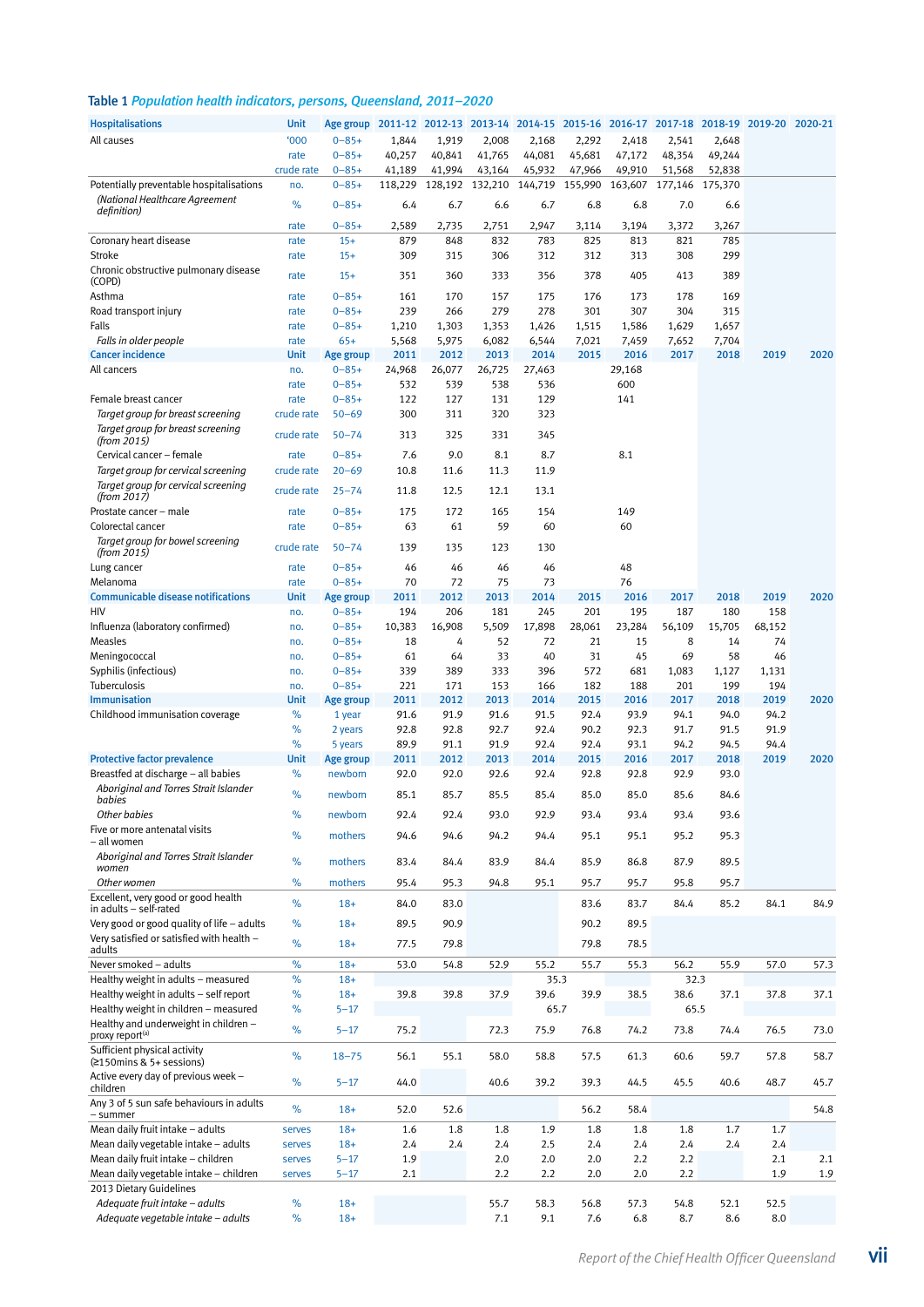### Table 1 *Population health indicators, persons, Queensland, 2011–2020*

| <b>Hospitalisations</b>                                                    | <b>Unit</b>        | Age group                |               |               |                 |               |               |               | 2011-12 2012-13 2013-14 2014-15 2015-16 2016-17 2017-18 2018-19 2019-20 2020-21 |               |              |      |
|----------------------------------------------------------------------------|--------------------|--------------------------|---------------|---------------|-----------------|---------------|---------------|---------------|---------------------------------------------------------------------------------|---------------|--------------|------|
| All causes                                                                 | 000'               | $0 - 85 +$               | 1,844         | 1,919         | 2,008           | 2,168         | 2,292         | 2,418         | 2,541                                                                           | 2,648         |              |      |
|                                                                            | rate               | $0 - 85 +$               | 40,257        | 40,841        | 41,765          | 44,081        | 45,681        | 47,172        | 48,354                                                                          | 49,244        |              |      |
|                                                                            | crude rate         | $0 - 85 +$               | 41,189        | 41,994        | 43,164          | 45,932        | 47,966        | 49,910        | 51,568                                                                          | 52,838        |              |      |
| Potentially preventable hospitalisations<br>(National Healthcare Agreement | no.                | $0 - 85 +$               | 118,229       |               | 128,192 132,210 | 144,719       | 155,990       | 163,607       | 177,146                                                                         | 175,370       |              |      |
| definition)                                                                | %                  | $0 - 85 +$               | 6.4           | 6.7           | 6.6             | 6.7           | 6.8           | 6.8           | 7.0                                                                             | 6.6           |              |      |
|                                                                            | rate               | $0 - 85 +$               | 2,589         | 2,735         | 2,751           | 2,947         | 3,114         | 3,194         | 3,372                                                                           | 3,267         |              |      |
| Coronary heart disease                                                     | rate               | $15+$                    | 879           | 848           | 832             | 783           | 825           | 813           | 821                                                                             | 785           |              |      |
| Stroke<br>Chronic obstructive pulmonary disease                            | rate               | $15+$                    | 309           | 315           | 306             | 312           | 312           | 313           | 308                                                                             | 299           |              |      |
| (COPD)                                                                     | rate               | $15+$                    | 351           | 360           | 333             | 356           | 378           | 405           | 413                                                                             | 389           |              |      |
| Asthma                                                                     | rate               | $0 - 85 +$               | 161           | 170           | 157             | 175           | 176           | 173           | 178                                                                             | 169           |              |      |
| Road transport injury                                                      | rate               | $0 - 85 +$               | 239           | 266           | 279             | 278           | 301           | 307           | 304                                                                             | 315           |              |      |
| Falls                                                                      | rate               | $0 - 85 +$               | 1,210         | 1,303         | 1,353           | 1,426         | 1,515         | 1,586         | 1,629                                                                           | 1,657         |              |      |
| Falls in older people<br><b>Cancer incidence</b>                           | rate<br>Unit       | $65+$                    | 5,568<br>2011 | 5,975<br>2012 | 6,082<br>2013   | 6,544<br>2014 | 7,021<br>2015 | 7,459<br>2016 | 7,652<br>2017                                                                   | 7,704<br>2018 | 2019         | 2020 |
| All cancers                                                                | no.                | Age group<br>$0 - 85 +$  | 24,968        | 26,077        | 26,725          | 27,463        |               | 29,168        |                                                                                 |               |              |      |
|                                                                            | rate               | $0 - 85 +$               | 532           | 539           | 538             | 536           |               | 600           |                                                                                 |               |              |      |
| Female breast cancer                                                       | rate               | $0 - 85 +$               | 122           | 127           | 131             | 129           |               | 141           |                                                                                 |               |              |      |
| Target group for breast screening                                          | crude rate         | $50 - 69$                | 300           | 311           | 320             | 323           |               |               |                                                                                 |               |              |      |
| Target group for breast screening<br>(from 2015)                           | crude rate         | $50 - 74$                | 313           | 325           | 331             | 345           |               |               |                                                                                 |               |              |      |
| Cervical cancer - female                                                   | rate               | $0 - 85 +$               | 7.6           | 9.0           | 8.1             | 8.7           |               | 8.1           |                                                                                 |               |              |      |
| Target group for cervical screening                                        | crude rate         | $20 - 69$                | 10.8          | 11.6          | 11.3            | 11.9          |               |               |                                                                                 |               |              |      |
| Target group for cervical screening                                        | crude rate         | $25 - 74$                | 11.8          | 12.5          | 12.1            | 13.1          |               |               |                                                                                 |               |              |      |
| (from 2017)                                                                |                    |                          |               |               |                 |               |               |               |                                                                                 |               |              |      |
| Prostate cancer - male<br>Colorectal cancer                                | rate<br>rate       | $0 - 85 +$<br>$0 - 85 +$ | 175<br>63     | 172<br>61     | 165<br>59       | 154<br>60     |               | 149<br>60     |                                                                                 |               |              |      |
| Target group for bowel screening                                           |                    |                          |               |               |                 |               |               |               |                                                                                 |               |              |      |
| (from 2015)                                                                | crude rate         | $50 - 74$                | 139           | 135           | 123             | 130           |               |               |                                                                                 |               |              |      |
| Lung cancer                                                                | rate               | $0 - 85 +$               | 46            | 46            | 46              | 46            |               | 48            |                                                                                 |               |              |      |
| Melanoma                                                                   | rate               | $0 - 85 +$               | 70            | 72            | 75              | 73            |               | 76            |                                                                                 |               |              |      |
| <b>Communicable disease notifications</b><br>HIV                           | <b>Unit</b><br>no. | Age group<br>$0 - 85 +$  | 2011<br>194   | 2012<br>206   | 2013<br>181     | 2014<br>245   | 2015<br>201   | 2016<br>195   | 2017<br>187                                                                     | 2018<br>180   | 2019<br>158  | 2020 |
| Influenza (laboratory confirmed)                                           | no.                | $0 - 85 +$               | 10,383        | 16,908        | 5,509           | 17,898        | 28,061        | 23,284        | 56,109                                                                          | 15,705        | 68,152       |      |
| Measles                                                                    | no.                | $0 - 85 +$               | 18            | 4             | 52              | 72            | 21            | 15            | 8                                                                               | 14            | 74           |      |
| Meningococcal                                                              | no.                | $0 - 85 +$               | 61            | 64            | 33              | 40            | 31            | 45            | 69                                                                              | 58            | 46           |      |
| Syphilis (infectious)                                                      | no.                | $0 - 85 +$               | 339           | 389           | 333             | 396           | 572           | 681           | 1,083                                                                           | 1,127         | 1,131        |      |
| Tuberculosis                                                               | no.                | $0 - 85 +$               | 221           | 171           | 153             | 166           | 182           | 188           | 201                                                                             | 199           | 194          |      |
| <b>Immunisation</b>                                                        | Unit               | Age group                | 2011          | 2012          | 2013            | 2014          | 2015          | 2016          | 2017                                                                            | 2018          | 2019         | 2020 |
| Childhood immunisation coverage                                            | %<br>%             | 1 year<br>2 years        | 91.6<br>92.8  | 91.9<br>92.8  | 91.6<br>92.7    | 91.5<br>92.4  | 92.4<br>90.2  | 93.9<br>92.3  | 94.1<br>91.7                                                                    | 94.0<br>91.5  | 94.2<br>91.9 |      |
|                                                                            | %                  | 5 years                  | 89.9          | 91.1          | 91.9            | 92.4          | 92.4          | 93.1          | 94.2                                                                            | 94.5          | 94.4         |      |
| <b>Protective factor prevalence</b>                                        | <b>Unit</b>        | Age group                | 2011          | 2012          | 2013            | 2014          | 2015          | 2016          | 2017                                                                            | 2018          | 2019         | 2020 |
| Breastfed at discharge - all babies                                        | %                  | newborn                  | 92.0          | 92.0          | 92.6            | 92.4          | 92.8          | 92.8          | 92.9                                                                            | 93.0          |              |      |
| Aboriginal and Torres Strait Islander                                      | %                  | newborn                  | 85.1          | 85.7          | 85.5            | 85.4          | 85.0          | 85.0          | 85.6                                                                            | 84.6          |              |      |
| babies<br>Other babies                                                     | %                  | newborn                  | 92.4          | 92.4          | 93.0            | 92.9          | 93.4          | 93.4          | 93.4                                                                            | 93.6          |              |      |
| Five or more antenatal visits                                              |                    |                          |               |               |                 |               |               |               |                                                                                 |               |              |      |
| – all women                                                                | %                  | mothers                  | 94.6          | 94.6          | 94.2            | 94.4          | 95.1          | 95.1          | 95.2                                                                            | 95.3          |              |      |
| Aboriginal and Torres Strait Islander<br>women                             | $\%$               | mothers                  | 83.4          | 84.4          | 83.9            | 84.4          | 85.9          | 86.8          | 87.9                                                                            | 89.5          |              |      |
| Other women                                                                | %                  | mothers                  | 95.4          | 95.3          | 94.8            | 95.1          | 95.7          | 95.7          | 95.8                                                                            | 95.7          |              |      |
| Excellent, very good or good health                                        |                    |                          |               |               |                 |               |               |               |                                                                                 |               |              |      |
| in adults - self-rated                                                     | %                  | $18+$                    | 84.0          | 83.0          |                 |               | 83.6          | 83.7          | 84.4                                                                            | 85.2          | 84.1         | 84.9 |
| Very good or good quality of life - adults                                 | %                  | $18+$                    | 89.5          | 90.9          |                 |               | 90.2          | 89.5          |                                                                                 |               |              |      |
| Very satisfied or satisfied with health -<br>adults                        | $\%$               | $18+$                    | 77.5          | 79.8          |                 |               | 79.8          | 78.5          |                                                                                 |               |              |      |
| Never smoked - adults                                                      | $\%$               | $18+$                    | 53.0          | 54.8          | 52.9            | 55.2          | 55.7          | 55.3          | 56.2                                                                            | 55.9          | 57.0         | 57.3 |
| Healthy weight in adults - measured                                        | $\%$               | $18+$                    |               |               |                 | 35.3          |               |               | 32.3                                                                            |               |              |      |
| Healthy weight in adults - self report                                     | $\%$               | $18+$                    | 39.8          | 39.8          | 37.9            | 39.6          | 39.9          | 38.5          | 38.6                                                                            | 37.1          | 37.8         | 37.1 |
| Healthy weight in children - measured                                      | %                  | $5 - 17$                 |               |               |                 | 65.7          |               |               | 65.5                                                                            |               |              |      |
| Healthy and underweight in children -<br>proxy report <sup>(a)</sup>       | $\%$               | $5 - 17$                 | 75.2          |               | 72.3            | 75.9          | 76.8          | 74.2          | 73.8                                                                            | 74.4          | 76.5         | 73.0 |
| Sufficient physical activity                                               | %                  | $18 - 75$                | 56.1          | 55.1          | 58.0            | 58.8          | 57.5          | 61.3          | 60.6                                                                            | 59.7          | 57.8         | 58.7 |
| (≥150mins & 5+ sessions)                                                   |                    |                          |               |               |                 |               |               |               |                                                                                 |               |              |      |
| Active every day of previous week -<br>children                            | %                  | $5 - 17$                 | 44.0          |               | 40.6            | 39.2          | 39.3          | 44.5          | 45.5                                                                            | 40.6          | 48.7         | 45.7 |
| Any 3 of 5 sun safe behaviours in adults                                   | $\%$               | $18+$                    | 52.0          | 52.6          |                 |               | 56.2          | 58.4          |                                                                                 |               |              | 54.8 |
| - summer                                                                   |                    |                          |               |               |                 |               |               |               |                                                                                 |               |              |      |
| Mean daily fruit intake - adults<br>Mean daily vegetable intake - adults   | serves             | $18+$<br>$18+$           | 1.6<br>2.4    | 1.8<br>2.4    | 1.8<br>2.4      | 1.9<br>2.5    | 1.8<br>2.4    | 1.8<br>2.4    | 1.8<br>2.4                                                                      | 1.7<br>2.4    | 1.7<br>2.4   |      |
| Mean daily fruit intake - children                                         | serves<br>serves   | $5 - 17$                 | 1.9           |               | 2.0             | 2.0           | 2.0           | 2.2           | 2.2                                                                             |               | 2.1          | 2.1  |
| Mean daily vegetable intake - children                                     | serves             | $5 - 17$                 | 2.1           |               | 2.2             | 2.2           | 2.0           | 2.0           | 2.2                                                                             |               | 1.9          | 1.9  |
| 2013 Dietary Guidelines                                                    |                    |                          |               |               |                 |               |               |               |                                                                                 |               |              |      |
| Adequate fruit intake - adults                                             | $\%$               | $18+$                    |               |               | 55.7            | 58.3          | 56.8          | 57.3          | 54.8                                                                            | 52.1          | 52.5         |      |
| Adequate vegetable intake - adults                                         | $\%$               | $18+$                    |               |               | 7.1             | 9.1           | 7.6           | 6.8           | 8.7                                                                             | 8.6           | 8.0          |      |